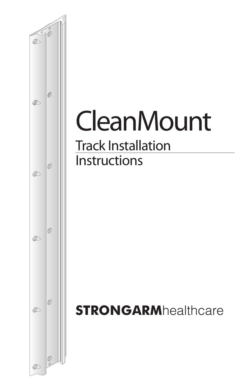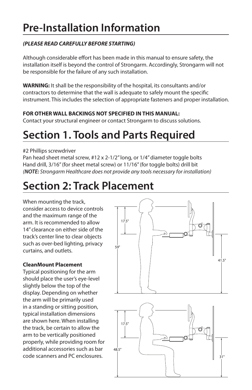# **Pre-Installation Information**

## *(PLEASE READ CAREFULLY BEFORE STARTING)*

Although considerable effort has been made in this manual to ensure safety, the installation itself is beyond the control of Strongarm. Accordingly, Strongarm will not be responsible for the failure of any such installation.

**WARNING:** It shall be the responsibility of the hospital, its consultants and/or contractors to determine that the wall is adequate to safely mount the specific instrument. This includes the selection of appropriate fasteners and proper installation.

## **FOR OTHER WALL BACKINGS NOT SPECIFIED IN THIS MANUAL:**

Contact your structural engineer or contact Strongarm to discuss solutions.

## **Section 1. Tools and Parts Required**

#### #2 Phillips screwdriver

Pan head sheet metal screw, #12 x 2-1/2" long, or 1/4" diameter toggle bolts Hand drill, 3/16" (for sheet metal screw) or 11/16" (for toggle bolts) drill bit *(NOTE: Strongarm Healthcare does not provide any tools necessary for installation)*

#### **Section 2: Track Placement** 17.5"

When mounting the track, consider access to device controls and the maximum range of the arm. It is recommended to allow 14" clearance on either side of the track's center line to clear objects such as over-bed lighting, privacy curtains, and outlets.

## **CleanMount Placement**

Typical positioning for the arm should place the user's eye-level slightly below the top of the display. Depending on whether the arm will be primarily used in a standing or sitting position, typical installation dimensions are shown here. When installing the track, be certain to allow the arm to be vertically positioned properly, while providing room for additional accessories such as bar code scanners and PC enclosures.

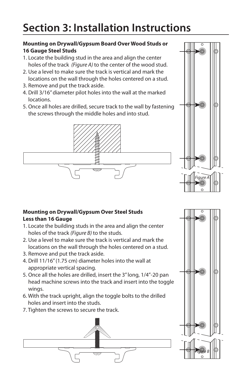# **Section 3: Installation Instructions**

#### **Mounting on Drywall/Gypsum Board Over Wood Studs or 16 Gauge Steel Studs**

- 1. Locate the building stud in the area and align the center holes of the track *(Figure A)* to the center of the wood stud.
- 2. Use a level to make sure the track is vertical and mark the locations on the wall through the holes centered on a stud.
- 3. Remove and put the track aside.
- 4. Drill 3/16" diameter pilot holes into the wall at the marked locations.
- 5. Once all holes are drilled, secure track to the wall by fastening the screws through the middle holes and into stud.





#### **Mounting on Drywall/Gypsum Over Steel Studs Less than 16 Gauge**

- 1. Locate the building studs in the area and align the center holes of the track *(Figure B)* to the studs.
- 2. Use a level to make sure the track is vertical and mark the locations on the wall through the holes centered on a stud.
- 3. Remove and put the track aside.
- 4. Drill 11/16" (1.75 cm) diameter holes into the wall at appropriate vertical spacing.
- 5. Once all the holes are drilled, insert the 3" long, 1/4"-20 pan head machine screws into the track and insert into the toggle wings.
- 6. With the track upright, align the toggle bolts to the drilled holes and insert into the studs.
- 7. Tighten the screws to secure the track.